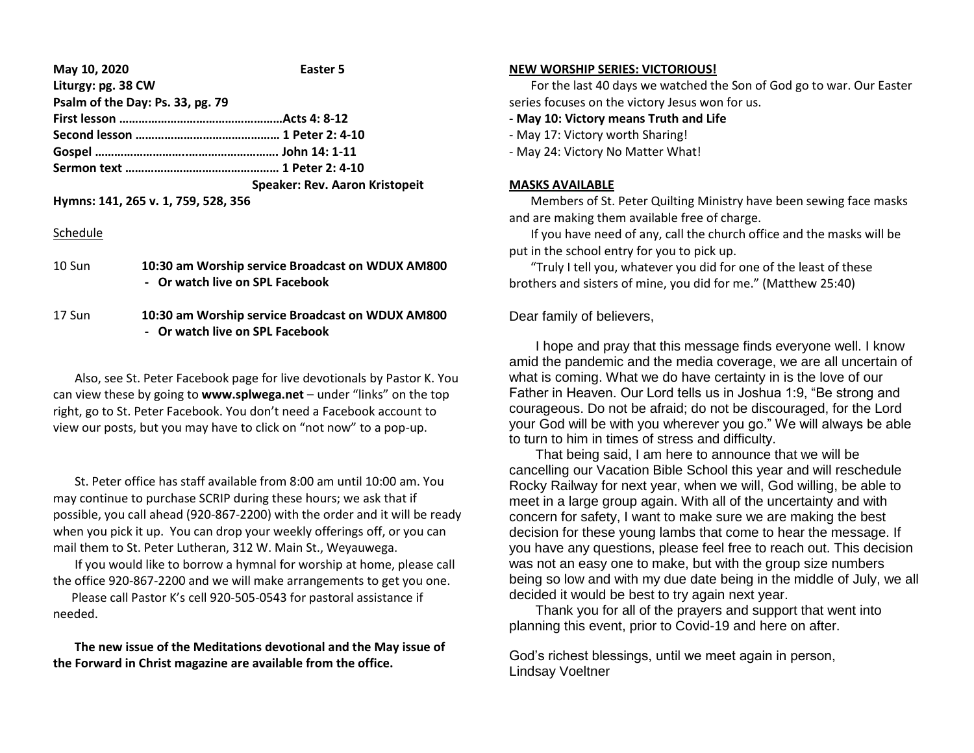#### **May 10, 2020 Easter 5 Liturgy: pg. 38 CW**

| $HOMEN$ , $VK$ , $JU$            |                                       |
|----------------------------------|---------------------------------------|
| Psalm of the Day: Ps. 33, pg. 79 |                                       |
|                                  |                                       |
|                                  |                                       |
|                                  |                                       |
|                                  |                                       |
|                                  | <b>Speaker: Rev. Aaron Kristopeit</b> |
|                                  |                                       |

**Hymns: 141, 265 v. 1, 759, 528, 356**

### Schedule

| - Or watch live on SPL Facebook | 10 Sun | 10:30 am Worship service Broadcast on WDUX AM800 |
|---------------------------------|--------|--------------------------------------------------|
|                                 |        | .                                                |

17 Sun **10:30 am Worship service Broadcast on WDUX AM800 - Or watch live on SPL Facebook**

 Also, see St. Peter Facebook page for live devotionals by Pastor K. You can view these by going to **www.splwega.net** – under "links" on the top right, go to St. Peter Facebook. You don't need a Facebook account to view our posts, but you may have to click on "not now" to a pop-up.

 St. Peter office has staff available from 8:00 am until 10:00 am. You may continue to purchase SCRIP during these hours; we ask that if possible, you call ahead (920-867-2200) with the order and it will be ready when you pick it up. You can drop your weekly offerings off, or you can mail them to St. Peter Lutheran, 312 W. Main St., Weyauwega.

 If you would like to borrow a hymnal for worship at home, please call the office 920-867-2200 and we will make arrangements to get you one.

 Please call Pastor K's cell 920-505-0543 for pastoral assistance if needed.

 **The new issue of the Meditations devotional and the May issue of the Forward in Christ magazine are available from the office.**

### **NEW WORSHIP SERIES: VICTORIOUS!**

 For the last 40 days we watched the Son of God go to war. Our Easter series focuses on the victory Jesus won for us.

**- May 10: Victory means Truth and Life**

- May 17: Victory worth Sharing!
- May 24: Victory No Matter What!

## **MASKS AVAILABLE**

 Members of St. Peter Quilting Ministry have been sewing face masks and are making them available free of charge.

 If you have need of any, call the church office and the masks will be put in the school entry for you to pick up.

 "Truly I tell you, whatever you did for one of the least of these brothers and sisters of mine, you did for me." (Matthew 25:40)

# Dear family of believers,

 I hope and pray that this message finds everyone well. I know amid the pandemic and the media coverage, we are all uncertain of what is coming. What we do have certainty in is the love of our Father in Heaven. Our Lord tells us in Joshua 1:9, "Be strong and courageous. Do not be afraid; do not be discouraged, for the Lord your God will be with you wherever you go." We will always be able to turn to him in times of stress and difficulty.

 That being said, I am here to announce that we will be cancelling our Vacation Bible School this year and will reschedule Rocky Railway for next year, when we will, God willing, be able to meet in a large group again. With all of the uncertainty and with concern for safety, I want to make sure we are making the best decision for these young lambs that come to hear the message. If you have any questions, please feel free to reach out. This decision was not an easy one to make, but with the group size numbers being so low and with my due date being in the middle of July, we all decided it would be best to try again next year.

 Thank you for all of the prayers and support that went into planning this event, prior to Covid-19 and here on after.

God's richest blessings, until we meet again in person, Lindsay Voeltner